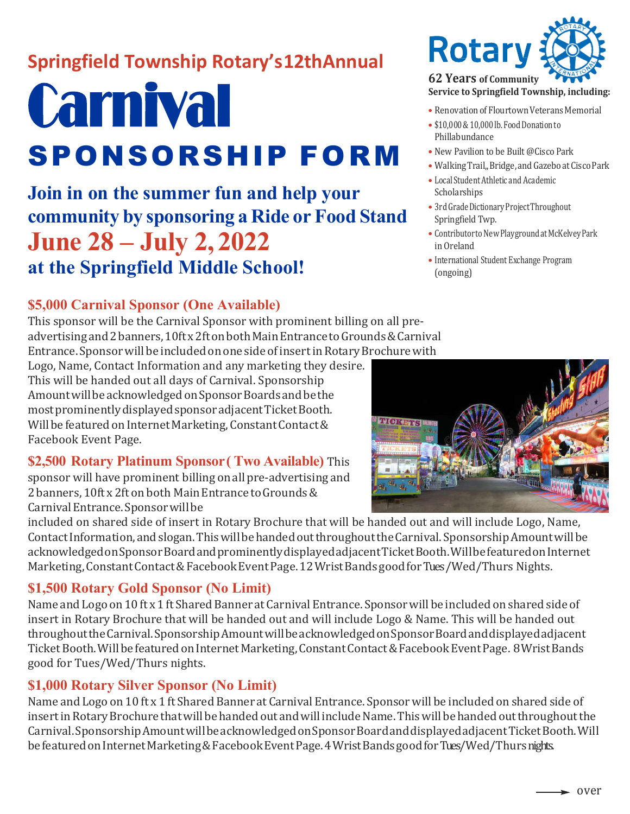## **Springfield Township Rotary's 12thAnnual**

# **Carnival** SPONSORSHIP FORM

**Join in on the summer fun and help your community by sponsoring a Ride or Food Stand June 28 – July 2, 2022 at the Springfield Middle School!**

## **\$5,000 Carnival Sponsor (One Available)**

This sponsor will be the Carnival Sponsor with prominent billing on all preadvertisingand2banners,10ftx2ftonbothMainEntrancetoGrounds&Carnival Entrance. Sponsor will be included on one side of insert in Rotary Brochure with

Logo, Name, Contact Information and any marketing they desire. This will be handed out all days of Carnival. Sponsorship Amount will be acknowledged on Sponsor Boards and be the most prominently displayed sponsor adjacent Ticket Booth. Will be featured on Internet Marketing, Constant Contact & Facebook Event Page.

## **\$2,500 Rotary Platinum Sponsor( Two Available)** This

sponsor will have prominent billing on all pre-advertising and 2 banners, 10ft x 2ft on both Main Entrance to Grounds & Carnival Entrance. Sponsor will be

included on shared side of insert in Rotary Brochure that will be handed out and will include Logo, Name, ContactInformation,andslogan.ThiswillbehandedoutthroughouttheCarnival.SponsorshipAmountwillbe acknowledgedonSponsorBoardandprominentlydisplayedadjacentTicketBooth.WillbefeaturedonInternet Marketing, Constant Contact & Facebook Event Page. 12 Wrist Bands good for Tues / Wed/Thurs Nights.

## **\$1,500 Rotary Gold Sponsor (No Limit)**

Name and Logo on 10 ft x 1 ft Shared Banner at Carnival Entrance. Sponsor will be included on shared side of insert in Rotary Brochure that will be handed out and will include Logo & Name. This will be handed out throughouttheCarnival.SponsorshipAmountwillbeacknowledgedonSponsorBoardanddisplayedadjacent Ticket Booth. Will be featured on Internet Marketing, Constant Contact & Facebook Event Page. 8 Wrist Bands good for Tues/Wed/Thurs nights.

## **\$1,000 Rotary Silver Sponsor (No Limit)**

Name and Logo on 10 ft x 1 ft Shared Banner at Carnival Entrance. Sponsorwill be included on shared side of insert in Rotary Brochure that will be handed out and will include Name. This will be handed out throughout the Carnival.SponsorshipAmountwillbeacknowledgedonSponsorBoardanddisplayedadjacentTicketBooth.Will be featured on Internet Marketing & Facebook Event Page. 4 Wrist Bands good for Tues/ Wed/Thurs nights.



## **Service to Springfield Township, including:**

- Renovation of Flourtown Veterans Memorial
- \$10,000 & 10,000 lb. Food Donation to Phillabundance
- New Pavilion to be Built @Cisco Park
- Walking Trail,, Bridge, and Gazeboat Cisco Park
- Local Student Athletic and Academic Scholarships
- 3rd Grade Dictionary Project Throughout Springfield Twp.
- Contributor to New Playground at McKelvey Park in Oreland
- International Student Exchange Program (ongoing)